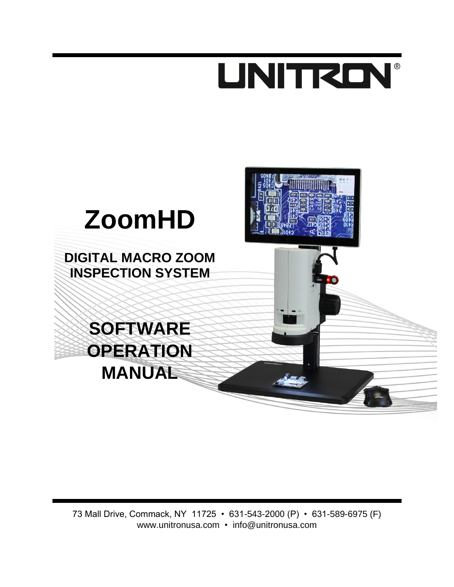# **UNITRON®**

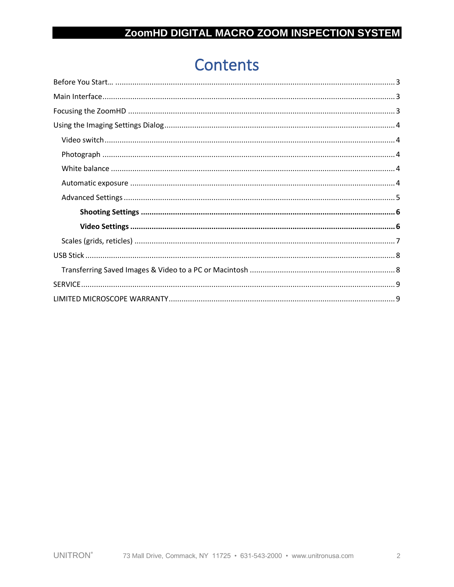# **Contents**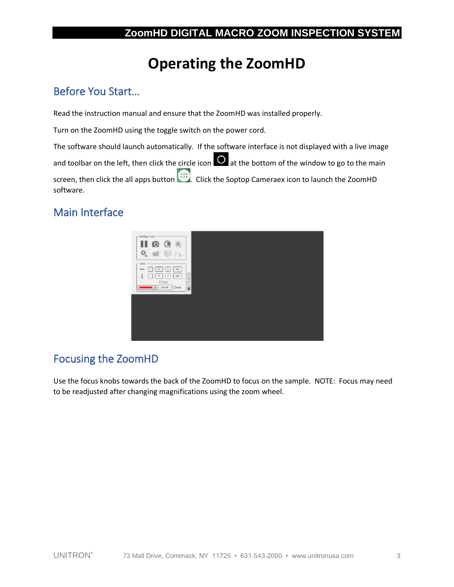# **Operating the ZoomHD**

# <span id="page-2-0"></span>Before You Start…

Read the instruction manual and ensure that the ZoomHD was installed properly.

Turn on the ZoomHD using the toggle switch on the power cord.

The software should launch automatically. If the software interface is not displayed with a live image

and toolbar on the left, then click the circle icon  $\overline{O}$  at the bottom of the window to go to the main

screen, then click the all apps button ... Click the Soptop Cameraex icon to launch the ZoomHD software.

# <span id="page-2-1"></span>Main Interface



# <span id="page-2-2"></span>Focusing the ZoomHD

Use the focus knobs towards the back of the ZoomHD to focus on the sample. NOTE: Focus may need to be readjusted after changing magnifications using the zoom wheel.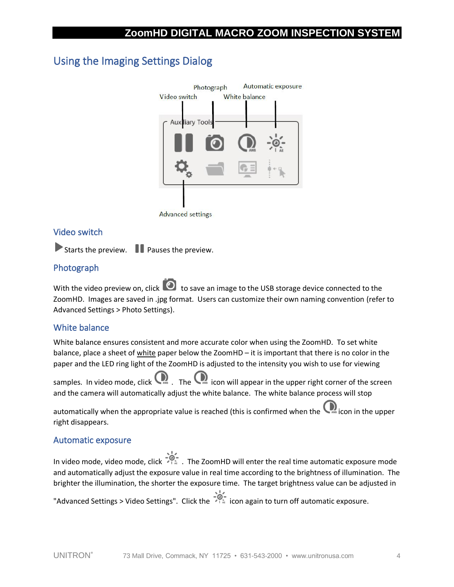# <span id="page-3-0"></span>Using the Imaging Settings Dialog



**Advanced settings** 

## <span id="page-3-1"></span>Video switch

Starts the preview.  $\blacksquare$  Pauses the preview.

## <span id="page-3-2"></span>Photograph

With the video preview on, click  $\Box$  to save an image to the USB storage device connected to the ZoomHD. Images are saved in .jpg format. Users can customize their own naming convention (refer to Advanced Settings > Photo Settings).

### <span id="page-3-3"></span>White balance

White balance ensures consistent and more accurate color when using the ZoomHD. To set white balance, place a sheet of white paper below the ZoomHD – it is important that there is no color in the paper and the LED ring light of the ZoomHD is adjusted to the intensity you wish to use for viewing

samples. In video mode, click  $\bigcup_{m=1}^{\infty}$  icon will appear in the upper right corner of the screen and the camera will automatically adjust the white balance. The white balance process will stop

automatically when the appropriate value is reached (this is confirmed when the same icon in the upper right disappears.

#### <span id="page-3-4"></span>Automatic exposure

In video mode, video mode, click  $\sqrt{2}$ . The ZoomHD will enter the real time automatic exposure mode and automatically adjust the exposure value in real time according to the brightness of illumination. The brighter the illumination, the shorter the exposure time. The target brightness value can be adjusted in "Advanced Settings > Video Settings". Click the  $\frac{1}{n}$  icon again to turn off automatic exposure.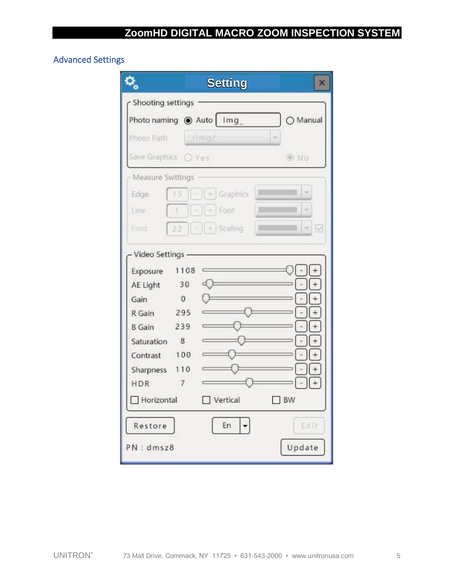## <span id="page-4-0"></span>Advanced Settings

|                                                                                                                     |                                                                  | <b>Setting</b>            | ×         |
|---------------------------------------------------------------------------------------------------------------------|------------------------------------------------------------------|---------------------------|-----------|
| Shooting settings                                                                                                   |                                                                  |                           |           |
|                                                                                                                     |                                                                  | Photo naming @ Auto   Img | O Manual  |
| Photo Path                                                                                                          |                                                                  | $/$ lma/                  |           |
| Save Graphics ○ Yes                                                                                                 |                                                                  |                           | O No      |
| Measure Swttings                                                                                                    |                                                                  |                           |           |
| Edge                                                                                                                |                                                                  | $+$ Graphics              |           |
| Line                                                                                                                |                                                                  | Font                      |           |
| Font                                                                                                                |                                                                  | $+$ Scaling               | M         |
| Exposure<br>AE Light<br>Gain<br>R Gain<br><b>B</b> Gain<br>Saturation<br>Contrast<br>Sharpness<br>HDR<br>Horizontal | 1108<br>30<br>$\mathbf{0}$<br>295<br>239<br>8<br>100<br>110<br>7 | d t<br>Vertical           | <b>BW</b> |
| Restore                                                                                                             |                                                                  | En                        | Edit      |
|                                                                                                                     |                                                                  |                           |           |
| PN: dmsz8                                                                                                           |                                                                  |                           | Update    |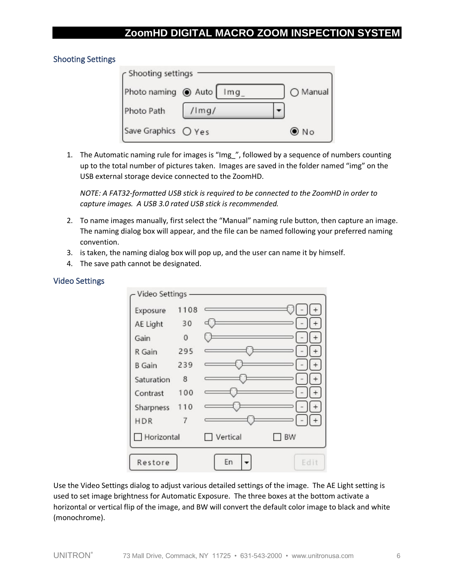## <span id="page-5-0"></span>Shooting Settings

| r Shooting settings |                 |                   |
|---------------------|-----------------|-------------------|
| Photo naming @ Auto | Im <sub>q</sub> | $\bigcirc$ Manual |
| Photo Path          | $/$ Img/        |                   |
| Save Graphics O Yes |                 | $\odot$ No        |

1. The Automatic naming rule for images is "Img\_", followed by a sequence of numbers counting up to the total number of pictures taken. Images are saved in the folder named "img" on the USB external storage device connected to the ZoomHD.

*NOTE: A FAT32-formatted USB stick is required to be connected to the ZoomHD in order to capture images. A USB 3.0 rated USB stick is recommended.*

- 2. To name images manually, first select the "Manual" naming rule button, then capture an image. The naming dialog box will appear, and the file can be named following your preferred naming convention.
- 3. is taken, the naming dialog box will pop up, and the user can name it by himself.
- 4. The save path cannot be designated.

#### <span id="page-5-1"></span>Video Settings



Use the Video Settings dialog to adjust various detailed settings of the image. The AE Light setting is used to set image brightness for Automatic Exposure. The three boxes at the bottom activate a horizontal or vertical flip of the image, and BW will convert the default color image to black and white (monochrome).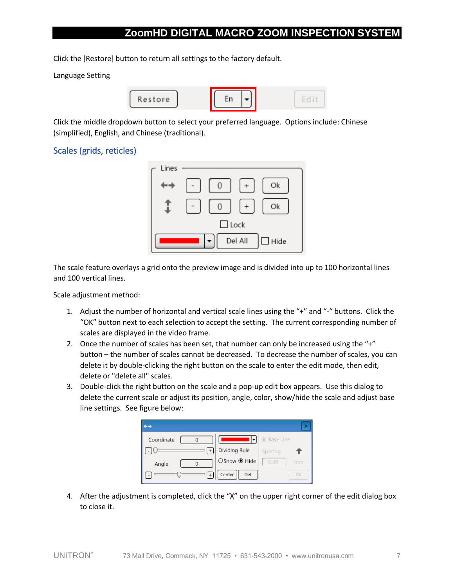Click the [Restore] button to return all settings to the factory default.

Language Setting



Click the middle dropdown button to select your preferred language. Options include: Chinese (simplified), English, and Chinese (traditional).

## <span id="page-6-0"></span>Scales (grids, reticles)



The scale feature overlays a grid onto the preview image and is divided into up to 100 horizontal lines and 100 vertical lines.

Scale adjustment method:

- 1. Adjust the number of horizontal and vertical scale lines using the "+" and "-" buttons. Click the "OK" button next to each selection to accept the setting. The current corresponding number of scales are displayed in the video frame.
- 2. Once the number of scales has been set, that number can only be increased using the "+" button – the number of scales cannot be decreased. To decrease the number of scales, you can delete it by double-clicking the right button on the scale to enter the edit mode, then edit, delete or "delete all" scales.
- 3. Double-click the right button on the scale and a pop-up edit box appears. Use this dialog to delete the current scale or adjust its position, angle, color, show/hide the scale and adjust base line settings. See figure below:



4. After the adjustment is completed, click the "X" on the upper right corner of the edit dialog box to close it.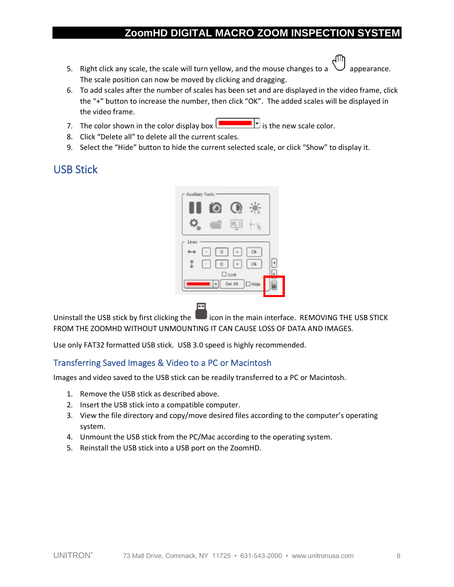- 5. Right click any scale, the scale will turn yellow, and the mouse changes to a  $\vee$  appearance. The scale position can now be moved by clicking and dragging.
- 6. To add scales after the number of scales has been set and are displayed in the video frame, click the "+" button to increase the number, then click "OK". The added scales will be displayed in the video frame.
- 7. The color shown in the color display box  $\boxed{\phantom{\int_{Y_s}}\phantom{\int_{Y_s}}\phantom{\int_{Y_s}}\phantom{\int_{Y_s}}\phantom{\int_{Y_s}}\phantom{\int_{Y_s}}\phantom{\int_{Y_s}}\phantom{\int_{Y_s}}\phantom{\int_{Y_s}}\phantom{\int_{Y_s}}\phantom{\int_{Y_s}}\phantom{\int_{Y_s}}\phantom{\int_{Y_s}}\phantom{\int_{Y_s}}\phantom{\int_{Y_s}}\phantom{\int_{Y_s}}\phantom{\int_{Y_s}}\phantom{\int_{Y_s}}\phantom{\int_{Y_s}}\phantom$
- 8. Click "Delete all" to delete all the current scales.
- 9. Select the "Hide" button to hide the current selected scale, or click "Show" to display it.

# <span id="page-7-0"></span>USB Stick

|     |     | Ξ                      |                   |  |
|-----|-----|------------------------|-------------------|--|
| Une |     |                        |                   |  |
|     | 0.1 | $\left  \cdot \right $ | Ok                |  |
|     | 81  |                        |                   |  |
|     |     | $\square$ took         |                   |  |
|     |     | Del All                | <sup>1</sup> Hide |  |

Uninstall the USB stick by first clicking the interface in the main interface. REMOVING THE USB STICK FROM THE ZOOMHD WITHOUT UNMOUNTING IT CAN CAUSE LOSS OF DATA AND IMAGES.

Use only FAT32 formatted USB stick. USB 3.0 speed is highly recommended.

## <span id="page-7-1"></span>Transferring Saved Images & Video to a PC or Macintosh

Images and video saved to the USB stick can be readily transferred to a PC or Macintosh.

- 1. Remove the USB stick as described above.
- 2. Insert the USB stick into a compatible computer.
- 3. View the file directory and copy/move desired files according to the computer's operating system.
- 4. Unmount the USB stick from the PC/Mac according to the operating system.
- 5. Reinstall the USB stick into a USB port on the ZoomHD.